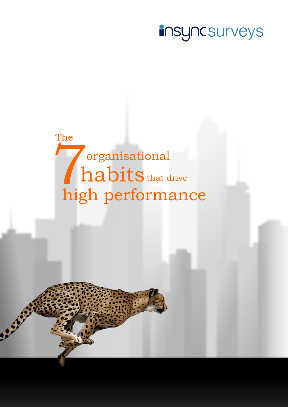# **insyncsurveys**

The organisational habits that drive high performance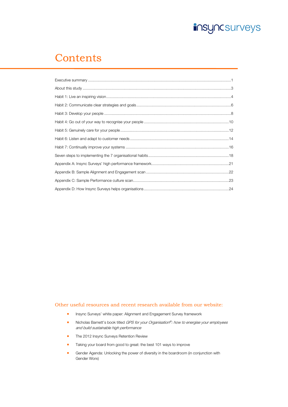

## **Contents**

#### Other useful resources and recent research available from our website:

- **Insync Surveys' white paper: Alignment and Engagement Survey framework**
- Nicholas Barnett's book titled GPS for your Organisation®: how to energise your employees and build sustainable high performance
- **The 2012 Insync Surveys Retention Review**
- Taking your board from good to great: the best 101 ways to improve
- Gender Agenda: Unlocking the power of diversity in the boardroom (in conjunction with Gender Worx)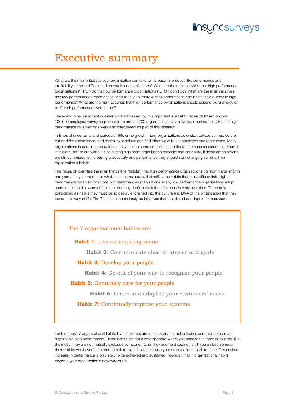### **insyncsurveys**

# Executive summary

What are the main initiatives your organisation can take to increase its productivity, performance and profitability in these difficult and uncertain economic times? What are the main activities that high performance organisations ("HPO") do that low performance organisations ("LPO") don't do? What are the main initiatives that low performance organisations need to take to improve their performance and begin their journey to high performance? What are the main activities that high performance organisations should expend extra energy on to lift their performance even further?

These and other important questions are addressed by this important Australian research based on over 100,000 employee survey responses from around 200 organisations over a five year period. Ten CEOs of high performance organisations were also interviewed as part of this research.

In times of uncertainty and periods of little or no growth many organisations downsize, outsource, restructure, cut or defer discretionary and capital expenditure and find other ways to cut employee and other costs. Many organisations in our research database have taken some or all of these initiatives to such an extent that there is little extra "fat" to cut without also cutting significant organisation capacity and capability. If these organisations are still committed to increasing productivity and performance they should start changing some of their organisation's habits.

This research identifies the main things (the "habits") that high performance organisations do month after month and year after year no matter what the circumstances. It identifies the habits that most differentiate high performance organisations from low performance organisations. Many low performance organisations adopt some of the habits some of the time, but they don't sustain the effort consistently over time. To be truly considered as habits they must be so deeply engrained into the culture and DNA of the organisation that they become its way of life. The 7 habits cannot simply be initiatives that are piloted or adopted for a season.

#### The 7 organisational habits are:

**Habit 1**: Live an inspiring vision

 **Habit 2**: Communicate clear strategies and goals

#### **Habit 3**: Develop your people

 **Habit 4**: Go out of your way to recognise your people

#### **Habit 5**: Genuinely care for your people

 **Habit 6**: Listen and adapt to your customers' needs

#### **Habit 7:** Continually improve your systems

Each of these 7 organisational habits by themselves are a necessary but not sufficient condition to achieve sustainable high performance. These habits are not a smorgasbord where you choose the three or four you like the most. They are not mutually exclusive by nature, rather they augment each other. If you embed some of these habits you haven't embedded before, you should increase your organisation's performance. The desired increase in performance is only likely to be achieved and sustained, however, if all 7 organisational habits become your organisation's new way of life.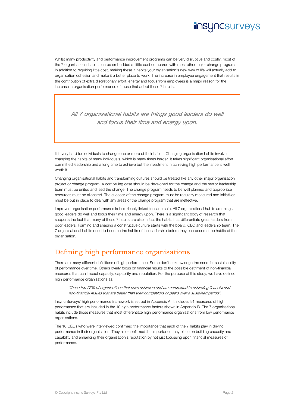### **iNSYNCSUrveyS**

Whilst many productivity and performance improvement programs can be very disruptive and costly, most of the 7 organisational habits can be embedded at little cost compared with most other major change programs. In addition to requiring little cost, making these 7 habits your organisation's new way of life will actually add to organisation cohesion and make it a better place to work. The increase in employee engagement that results in the contribution of extra discretionary effort, energy and focus from employees is a major reason for the increase in organisation performance of those that adopt these 7 habits.

All 7 organisational habits are things good leaders do well and focus their time and energy upon.

It is very hard for individuals to change one or more of their habits. Changing organisation habits involves changing the habits of many individuals, which is many times harder. It takes significant organisational effort, committed leadership and a long time to achieve but the investment in achieving high performance is well worth it.

Changing organisational habits and transforming cultures should be treated like any other major organisation project or change program. A compelling case should be developed for the change and the senior leadership team must be united and lead the change. The change program needs to be well planned and appropriate resources must be allocated. The success of the change program must be regularly measured and initiatives must be put in place to deal with any areas of the change program that are ineffective.

Improved organisation performance is inextricably linked to leadership. All 7 organisational habits are things good leaders do well and focus their time and energy upon. There is a significant body of research that supports the fact that many of these 7 habits are also in fact the habits that differentiate great leaders from poor leaders. Forming and shaping a constructive culture starts with the board, CEO and leadership team. The 7 organisational habits need to become the habits of the leadership before they can become the habits of the organisation.

#### Defining high performance organisations

There are many different definitions of high performance. Some don't acknowledge the need for sustainability of performance over time. Others overly focus on financial results to the possible detriment of non-financial measures that can impact capacity, capability and reputation. For the purpose of this study, we have defined high performance organisations as:

"those top 25% of organisations that have achieved and are committed to achieving financial and non-financial results that are better than their competitors or peers over a sustained period".

Insync Surveys' high performance framework is set out in Appendix A. It includes 91 measures of high performance that are included in the 10 high performance factors shown in Appendix B. The 7 organisational habits include those measures that most differentiate high performance organisations from low performance organisations.

The 10 CEOs who were interviewed confirmed the importance that each of the 7 habits play in driving performance in their organisation. They also confirmed the importance they place on building capacity and capability and enhancing their organisation's reputation by not just focussing upon financial measures of performance.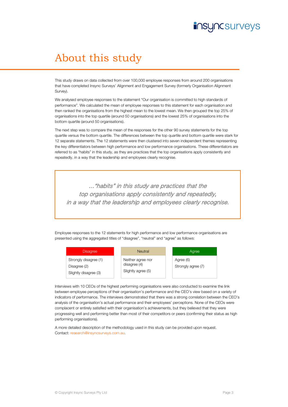# **JNCSUrveyS**

# About this study

This study draws on data collected from over 100,000 employee responses from around 200 organisations that have completed Insync Surveys' Alignment and Engagement Survey (formerly Organisation Alignment Survey).

We analysed employee responses to the statement "Our organisation is committed to high standards of performance". We calculated the mean of employee responses to this statement for each organisation and then ranked the organisations from the highest mean to the lowest mean. We then grouped the top 25% of organisations into the top quartile (around 50 organisations) and the lowest 25% of organisations into the bottom quartile (around 50 organisations).

The next step was to compare the mean of the responses for the other 90 survey statements for the top quartile versus the bottom quartile. The differences between the top quartile and bottom quartile were stark for 12 separate statements. The 12 statements were then clustered into seven independent themes representing the key differentiators between high performance and low performance organisations. These differentiators are referred to as "habits" in this study, as they are practices that the top organisations apply consistently and repeatedly, in a way that the leadership and employees clearly recognise.

..."habits" in this study are practices that the top organisations apply consistently and repeatedly, in a way that the leadership and employees clearly recognise.

Employee responses to the 12 statements for high performance and low performance organisations are presented using the aggregated titles of "disagree", "neutral" and "agree" as follows:

| <b>Disagree</b>                                                | <b>Neutral</b>                                          | Agree                           |
|----------------------------------------------------------------|---------------------------------------------------------|---------------------------------|
| Strongly disagree (1)<br>Disagree (2)<br>Slightly disagree (3) | Neither agree nor<br>disagree (4)<br>Slightly agree (5) | Agree (6)<br>Strongly agree (7) |

Interviews with 10 CEOs of the highest performing organisations were also conducted to examine the link between employee perceptions of their organisation's performance and the CEO's view based on a variety of indicators of performance. The interviews demonstrated that there was a strong correlation between the CEO's analysis of the organisation's actual performance and their employees' perceptions. None of the CEOs were complacent or entirely satisfied with their organisation's achievements, but they believed that they were progressing well and performing better than most of their competitors or peers (confirming their status as high performing organisations).

A more detailed description of the methodology used in this study can be provided upon request. Contact: research@insyncsurveys.com.au.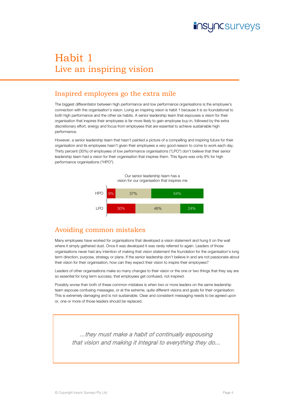## **JNCSUrveyS**

# Habit 1 Live an inspiring vision

#### Inspired employees go the extra mile

The biggest differentiator between high performance and low performance organisations is the employee's connection with the organisation's vision. Living an inspiring vision is habit 1 because it is so foundational to both high performance and the other six habits. A senior leadership team that espouses a vision for their organisation that inspires their employees is far more likely to gain employee buy-in, followed by the extra discretionary effort, energy and focus from employees that are essential to achieve sustainable high performance.

However, a senior leadership team that hasn't painted a picture of a compelling and inspiring future for their organisation and its employees hasn't given their employees a very good reason to come to work each day. Thirty percent (30%) of employees of low performance organisations ("LPO") don't believe that their senior leadership team had a vision for their organisation that inspires them. This figure was only 9% for high performance organisations ("HPO").



Our senior leadership team has a

### Avoiding common mistakes

Many employees have worked for organisations that developed a vision statement and hung it on the wall where it simply gathered dust. Once it was developed it was rarely referred to again. Leaders of those organisations never had any intention of making that vision statement the foundation for the organisation's long term direction, purpose, strategy or plans. If the senior leadership don't believe in and are not passionate about their vision for their organisation, how can they expect their vision to inspire their employees?

Leaders of other organisations make so many changes to their vision or the one or two things that they say are so essential for long term success, that employees get confused, not inspired.

Possibly worse than both of these common mistakes is when two or more leaders on the same leadership team espouse confusing messages, or at the extreme, quite different visions and goals for their organisation. This is extremely damaging and is not sustainable. Clear and consistent messaging needs to be agreed upon or, one or more of those leaders should be replaced.

...they must make a habit of continually espousing that vision and making it integral to everything they do...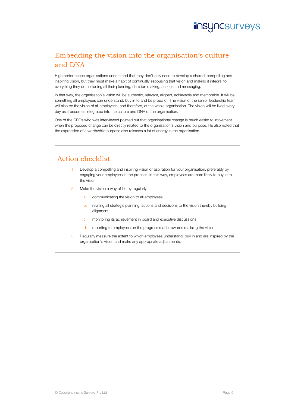

### Embedding the vision into the organisation's culture and DNA

High performance organisations understand that they don't only need to develop a shared, compelling and inspiring vision, but they must make a habit of continually espousing that vision and making it integral to everything they do, including all their planning, decision making, actions and messaging.

In that way, the organisation's vision will be authentic, relevant, aligned, achievable and memorable. It will be something all employees can understand, buy in to and be proud of. The vision of the senior leadership team will also be the vision of all employees, and therefore, of the whole organisation. The vision will be lived every day as it becomes integrated into the culture and DNA of the organisation.

One of the CEOs who was interviewed pointed out that organisational change is much easier to implement when the proposed change can be directly related to the organisation's vision and purpose. He also noted that the expression of a worthwhile purpose also releases a lot of energy in the organisation.

- Develop a compelling and inspiring vision or aspiration for your organisation, preferably by engaging your employees in the process. In this way, employees are more likely to buy in to the vision.
- Make the vision a way of life by regularly:
	- a. communicating the vision to all employees
	- b. relating all strategic planning, actions and decisions to the vision thereby building alignment
	- c. monitoring its achievement in board and executive discussions
	- d. reporting to employees on the progress made towards realising the vision
- Regularly measure the extent to which employees understand, buy in and are inspired by the organisation's vision and make any appropriate adjustments.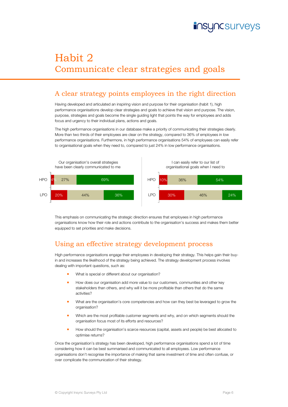# **INCSUrveyS**

# Habit 2 Communicate clear strategies and goals

### A clear strategy points employees in the right direction

Having developed and articulated an inspiring vision and purpose for their organisation (habit 1), high performance organisations develop clear strategies and goals to achieve that vision and purpose. The vision, purpose, strategies and goals become the single guiding light that points the way for employees and adds focus and urgency to their individual plans, actions and goals.

The high performance organisations in our database make a priority of communicating their strategies clearly. More than two thirds of their employees are clear on the strategy, compared to 36% of employees in low performance organisations. Furthermore, in high performance organisations 54% of employees can easily refer to organisational goals when they need to, compared to just 24% in low performance organisations.



This emphasis on communicating the strategic direction ensures that employees in high performance organisations know how their role and actions contribute to the organisation's success and makes them better equipped to set priorities and make decisions.

#### Using an effective strategy development process

High performance organisations engage their employees in developing their strategy. This helps gain their buyin and increases the likelihood of the strategy being achieved. The strategy development process involves dealing with important questions, such as:

- What is special or different about our organisation?
- How does our organisation add more value to our customers, communities and other key stakeholders than others, and why will it be more profitable than others that do the same activities?
- **What are the organisation's core competencies and how can they best be leveraged to grow the** organisation?
- Which are the most profitable customer segments and why, and on which segments should the organisation focus most of its efforts and resources?
- How should the organisation's scarce resources (capital, assets and people) be best allocated to optimise returns?

Once the organisation's strategy has been developed, high performance organisations spend a lot of time considering how it can be best summarised and communicated to all employees. Low performance organisations don't recognise the importance of making that same investment of time and often confuse, or over complicate the communication of their strategy.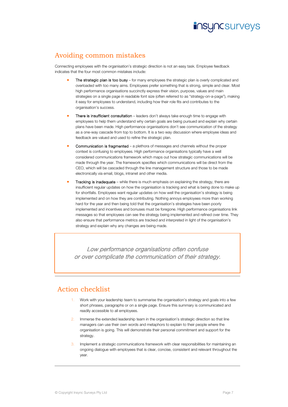

### Avoiding common mistakes

Connecting employees with the organisation's strategic direction is not an easy task. Employee feedback indicates that the four most common mistakes include:

- The strategic plan is too busy for many employees the strategic plan is overly complicated and overloaded with too many aims. Employees prefer something that is strong, simple and clear. Most high performance organisations succinctly express their vision, purpose, values and main strategies on a single page in readable font size (often referred to as "strategy-on-a-page"), making it easy for employees to understand, including how their role fits and contributes to the organisation's success.
- There is insufficient consultation leaders don't always take enough time to engage with employees to help them understand why certain goals are being pursued and explain why certain plans have been made. High performance organisations don't see communication of the strategy as a one-way cascade from top to bottom. It is a two way discussion where employee ideas and feedback are valued and used to refine the strategic plan.
- Communication is fragmented a plethora of messages and channels without the proper context is confusing to employees. High performance organisations typically have a well considered communications framework which maps out how strategic communications will be made through the year. The framework specifies which communications will be direct from the CEO, which will be cascaded through the line management structure and those to be made electronically via email, blogs, intranet and other media.
- Tracking is inadequate while there is much emphasis on explaining the strategy, there are insufficient regular updates on how the organisation is tracking and what is being done to make up for shortfalls. Employees want regular updates on how well the organisation's strategy is being implemented and on how they are contributing. Nothing annoys employees more than working hard for the year and then being told that the organisation's strategies have been poorly implemented and incentives and bonuses must be foregone. High performance organisations link messages so that employees can see the strategy being implemented and refined over time. They also ensure that performance metrics are tracked and interpreted in light of the organisation's strategy and explain why any changes are being made.

Low performance organisations often confuse or over complicate the communication of their strategy.

- Work with your leadership team to summarise the organisation's strategy and goals into a few short phrases, paragraphs or on a single page. Ensure this summary is communicated and readily accessible to all employees.
- 2. Immerse the extended leadership team in the organisation's strategic direction so that line managers can use their own words and metaphors to explain to their people where the organisation is going. This will demonstrate their personal commitment and support for the strategy.
- Implement a strategic communications framework with clear responsibilities for maintaining an ongoing dialogue with employees that is clear, concise, consistent and relevant throughout the year.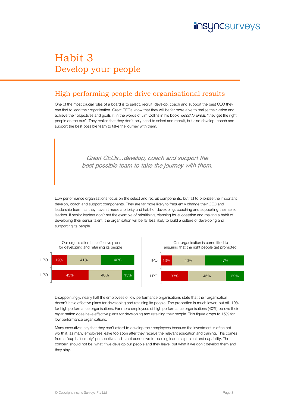

## Habit 3 Develop your people

### High performing people drive organisational results

One of the most crucial roles of a board is to select, recruit, develop, coach and support the best CEO they can find to lead their organisation. Great CEOs know that they will be far more able to realise their vision and achieve their objectives and goals if, in the words of Jim Collins in his book, Good to Great, "they get the right people on the bus". They realise that they don't only need to select and recruit, but also develop, coach and support the best possible team to take the journey with them.

> Great CEOs...develop, coach and support the best possible team to take the journey with them.

Low performance organisations focus on the select and recruit components, but fail to prioritise the important develop, coach and support components. They are far more likely to frequently change their CEO and leadership team, as they haven't made a priority and habit of developing, coaching and supporting their senior leaders. If senior leaders don't set the example of prioritising, planning for succession and making a habit of developing their senior talent, the organisation will be far less likely to build a culture of developing and supporting its people.



Disappointingly, nearly half the employees of low performance organisations state that their organisation doesn't have effective plans for developing and retaining its people. The proportion is much lower, but still 19% for high performance organisations. Far more employees of high performance organisations (40%) believe their organisation does have effective plans for developing and retaining their people. This figure drops to 15% for low performance organisations.

Many executives say that they can't afford to develop their employees because the investment is often not worth it, as many employees leave too soon after they receive the relevant education and training. This comes from a "cup half empty" perspective and is not conducive to building leadership talent and capability. The concern should not be, what if we develop our people and they leave; but what if we don't develop them and they stay.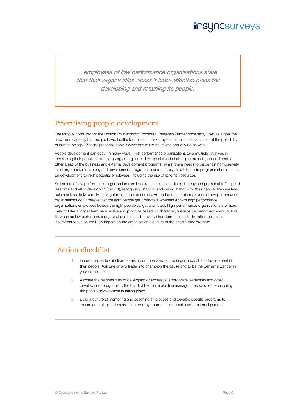### **JNCSUrveyS**

...employees of low performance organisations state that their organisation doesn't have effective plans for developing and retaining its people.

#### Prioritising people development

The famous conductor of the Boston Philharmonic Orchestra, Benjamin Zander once said, "I set as a goal the maximum capacity that people have. I settle for no less. I make myself the relentless architect of the possibility of human beings." Zander practised habit 3 every day of his life. It was part of who he was.

People development can occur in many ways. High performance organisations take multiple initiatives in developing their people, including giving emerging leaders special and challenging projects, secondment to other areas of the business and external development programs. Whilst there needs to be certain homogeneity in an organisation's training and development programs, one size rarely fits all. Specific programs should focus on development for high potential employees, including the use of external resources.

As leaders of low performance organisations are less clear in relation to their strategy and goals (habit 2), spend less time and effort developing (habit 3), recognising (habit 4) and caring (habit 5) for their people, they are less able and less likely to make the right recruitment decisions. Around one third of employees of low performance organisations don't believe that the right people get promoted, whereas 47% of high performance organisations employees believe the right people do get promoted. High performance organisations are more likely to take a longer term perspective and promote based on character, sustainable performance and cultural fit, whereas low performance organisations tend to be overly short term focused. The latter also place insufficient focus on the likely impact on the organisation's culture of the people they promote.

- Ensure the leadership team forms a common view on the importance of the development of their people. Ask one or two leaders to champion the cause and to be the Benjamin Zander in your organisation.
- 2. Allocate the responsibility of developing or accessing appropriate leadership and other development programs to the head of HR, but make line managers responsible for ensuring the people development is taking place.
- 3. Build a culture of mentoring and coaching employees and develop specific programs to ensure emerging leaders are mentored by appropriate internal and/or external persons.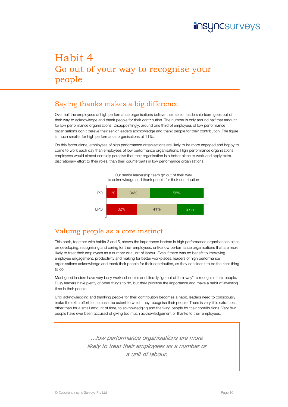

### Habit 4 Go out of your way to recognise your people

### Saying thanks makes a big difference

Over half the employees of high performance organisations believe their senior leadership team goes out of their way to acknowledge and thank people for their contribution. The number is only around half that amount for low performance organisations. Disappointingly, around one third of employees of low performance organisations don't believe their senior leaders acknowledge and thank people for their contribution. The figure is much smaller for high performance organisations at 11%.

On this factor alone, employees of high performance organisations are likely to be more engaged and happy to come to work each day than employees of low performance organisations. High performance organisations' employees would almost certainly perceive that their organisation is a better place to work and apply extra discretionary effort to their roles, than their counterparts in low performance organisations.



 Our senior leadership team go out of their way to acknowledge and thank people for their contribution

### Valuing people as a core instinct

This habit, together with habits 3 and 5, shows the importance leaders in high performance organisations place on developing, recognising and caring for their employees, unlike low performance organisations that are more likely to treat their employees as a number or a unit of labour. Even if there was no benefit to improving employee engagement, productivity and making for better workplaces, leaders of high performance organisations acknowledge and thank their people for their contribution, as they consider it to be the right thing to do.

Most good leaders have very busy work schedules and literally "go out of their way" to recognise their people. Busy leaders have plenty of other things to do, but they prioritise the importance and make a habit of investing time in their people.

Until acknowledging and thanking people for their contribution becomes a habit, leaders need to consciously make the extra effort to increase the extent to which they recognise their people. There is very little extra cost, other than for a small amount of time, to acknowledging and thanking people for their contributions. Very few people have ever been accused of giving too much acknowledgement or thanks to their employees.

> ...low performance organisations are more likely to treat their employees as a number or a unit of labour.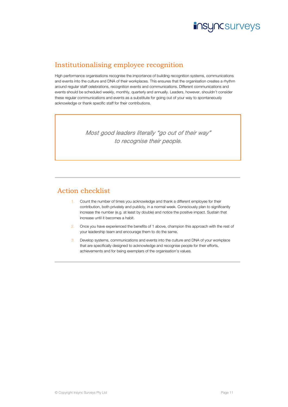

### Institutionalising employee recognition

High performance organisations recognise the importance of building recognition systems, communications and events into the culture and DNA of their workplaces. This ensures that the organisation creates a rhythm around regular staff celebrations, recognition events and communications. Different communications and events should be scheduled weekly, monthly, quarterly and annually. Leaders, however, shouldn't consider these regular communications and events as a substitute for going out of your way to spontaneously acknowledge or thank specific staff for their contributions.

> Most good leaders literally "go out of their way" to recognise their people.

- 1. Count the number of times you acknowledge and thank a different employee for their contribution, both privately and publicly, in a normal week. Consciously plan to significantly increase the number (e.g. at least by double) and notice the positive impact. Sustain that increase until it becomes a habit.
- 2. Once you have experienced the benefits of 1 above, champion this approach with the rest of your leadership team and encourage them to do the same.
- 3. Develop systems, communications and events into the culture and DNA of your workplace that are specifically designed to acknowledge and recognise people for their efforts, achievements and for being exemplars of the organisation's values.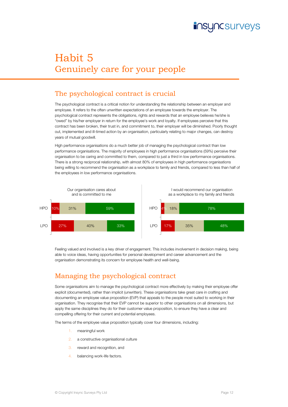

# Habit 5 Genuinely care for your people

### The psychological contract is crucial

The psychological contract is a critical notion for understanding the relationship between an employer and employee. It refers to the often unwritten expectations of an employee towards the employer. The psychological contract represents the obligations, rights and rewards that an employee believes he/she is "owed" by his/her employer in return for the employee's work and loyalty. If employees perceive that this contract has been broken, their trust in, and commitment to, their employer will be diminished. Poorly thought out, implemented and ill-timed action by an organisation, particularly relating to major changes, can destroy years of mutual goodwill.

High performance organisations do a much better job of managing the psychological contract than low performance organisations. The majority of employees in high performance organisations (59%) perceive their organisation to be caring and committed to them, compared to just a third in low performance organisations. There is a strong reciprocal relationship, with almost 80% of employees in high performance organisations being willing to recommend the organisation as a workplace to family and friends, compared to less than half of the employees in low performance organisations.



Feeling valued and involved is a key driver of engagement. This includes involvement in decision making, being able to voice ideas, having opportunities for personal development and career advancement and the organisation demonstrating its concern for employee health and well-being.

### Managing the psychological contract

Some organisations aim to manage the psychological contract more effectively by making their employee offer explicit (documented), rather than implicit (unwritten). These organisations take great care in crafting and documenting an employee value proposition (EVP) that appeals to the people most suited to working in their organisation. They recognise that their EVP cannot be superior to other organisations on all dimensions, but apply the same disciplines they do for their customer value proposition, to ensure they have a clear and compelling offering for their current and potential employees.

The terms of the employee value proposition typically cover four dimensions, including:

- meaningful work
- 2. a constructive organisational culture
- 3. reward and recognition, and
- 4. balancing work-life factors.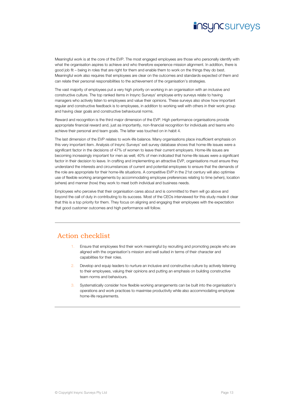### **insyncsurveys**

Meaningful work is at the core of the EVP. The most engaged employees are those who personally identify with what the organisation aspires to achieve and who therefore experience mission alignment. In addition, there is good job fit – being in roles that are right for them and enable them to work on the things they do best. Meaningful work also requires that employees are clear on the outcomes and standards expected of them and can relate their personal responsibilities to the achievement of the organisation's strategies.

The vast majority of employees put a very high priority on working in an organisation with an inclusive and constructive culture. The top ranked items in Insync Surveys' employee entry surveys relate to having managers who actively listen to employees and value their opinions. These surveys also show how important regular and constructive feedback is to employees, in addition to working well with others in their work group and having clear goals and constructive behavioural norms.

Reward and recognition is the third major dimension of the EVP. High performance organisations provide appropriate financial reward and, just as importantly, non-financial recognition for individuals and teams who achieve their personal and team goals. The latter was touched on in habit 4.

The last dimension of the EVP relates to work-life balance. Many organisations place insufficient emphasis on this very important item. Analysis of Insync Surveys' exit survey database shows that home-life issues were a significant factor in the decisions of 47% of women to leave their current employers. Home-life issues are becoming increasingly important for men as well; 40% of men indicated that home-life issues were a significant factor in their decision to leave. In crafting and implementing an attractive EVP, organisations must ensure they understand the interests and circumstances of current and potential employees to ensure that the demands of the role are appropriate for their home-life situations. A competitive EVP in the 21st century will also optimise use of flexible working arrangements by accommodating employee preferences relating to time (when), location (where) and manner (how) they work to meet both individual and business needs.

Employees who perceive that their organisation cares about and is committed to them will go above and beyond the call of duty in contributing to its success. Most of the CEOs interviewed for this study made it clear that this is a top priority for them. They focus on aligning and engaging their employees with the expectation that good customer outcomes and high performance will follow.

- Ensure that employees find their work meaningful by recruiting and promoting people who are aligned with the organisation's mission and well suited in terms of their character and capabilities for their roles.
- Develop and equip leaders to nurture an inclusive and constructive culture by actively listening to their employees, valuing their opinions and putting an emphasis on building constructive team norms and behaviours.
- Systematically consider how flexible working arrangements can be built into the organisation's operations and work practices to maximise productivity while also accommodating employee home-life requirements.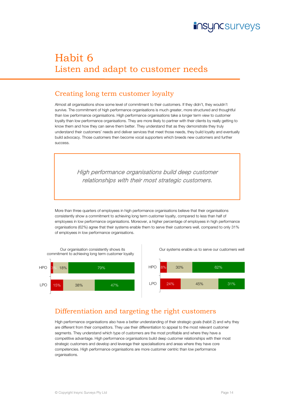

# Habit 6 Listen and adapt to customer needs

#### Creating long term customer loyalty

Almost all organisations show some level of commitment to their customers. If they didn't, they wouldn't survive. The commitment of high performance organisations is much greater, more structured and thoughtful than low performance organisations. High performance organisations take a longer term view to customer loyalty than low performance organisations. They are more likely to partner with their clients by really getting to know them and how they can serve them better. They understand that as they demonstrate they truly understand their customers' needs and deliver services that meet those needs, they build loyalty and eventually build advocacy. Those customers then become vocal supporters which breeds new customers and further success.

> High performance organisations build deep customer relationships with their most strategic customers.

More than three quarters of employees in high performance organisations believe that their organisations consistently show a commitment to achieving long term customer loyalty, compared to less than half of employees in low performance organisations. Moreover, a higher percentage of employees in high performance organisations (62%) agree that their systems enable them to serve their customers well, compared to only 31% of employees in low performance organisations.



Our systems enable us to serve our customers well



#### Differentiation and targeting the right customers

High performance organisations also have a better understanding of their strategic goals (habit 2) and why they are different from their competitors. They use their differentiation to appeal to the most relevant customer segments. They understand which type of customers are the most profitable and where they have a competitive advantage. High performance organisations build deep customer relationships with their most strategic customers and develop and leverage their specialisations and areas where they have core competencies. High performance organisations are more customer centric than low performance organisations.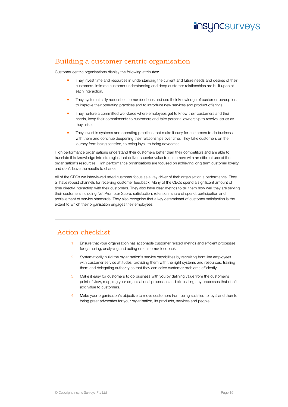

#### Building a customer centric organisation

Customer centric organisations display the following attributes:

- They invest time and resources in understanding the current and future needs and desires of their customers. Intimate customer understanding and deep customer relationships are built upon at each interaction.
- **They systematically request customer feedback and use their knowledge of customer perceptions** to improve their operating practices and to introduce new services and product offerings.
- **They nurture a committed workforce where employees get to know their customers and their** needs, keep their commitments to customers and take personal ownership to resolve issues as they arise.
- They invest in systems and operating practices that make it easy for customers to do business with them and continue deepening their relationships over time. They take customers on the journey from being satisfied, to being loyal, to being advocates.

High performance organisations understand their customers better than their competitors and are able to translate this knowledge into strategies that deliver superior value to customers with an efficient use of the organisation's resources. High performance organisations are focused on achieving long term customer loyalty and don't leave the results to chance.

All of the CEOs we interviewed rated customer focus as a key driver of their organisation's performance. They all have robust channels for receiving customer feedback. Many of the CEOs spend a significant amount of time directly interacting with their customers. They also have clear metrics to tell them how well they are serving their customers including Net Promoter Score, satisfaction, retention, share of spend, participation and achievement of service standards. They also recognise that a key determinant of customer satisfaction is the extent to which their organisation engages their employees.

- 1. Ensure that your organisation has actionable customer related metrics and efficient processes for gathering, analysing and acting on customer feedback.
- 2. Systematically build the organisation's service capabilities by recruiting front line employees with customer service attitudes, providing them with the right systems and resources, training them and delegating authority so that they can solve customer problems efficiently.
- 3. Make it easy for customers to do business with you by defining value from the customer's point of view, mapping your organisational processes and eliminating any processes that don't add value to customers.
- Make your organisation's objective to move customers from being satisfied to loyal and then to being great advocates for your organisation, its products, services and people.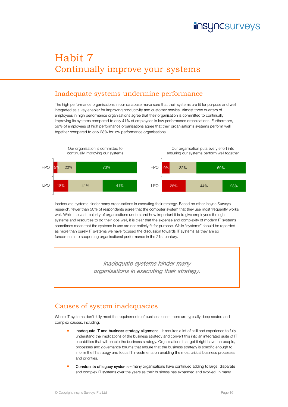

# Habit 7 Continually improve your systems

#### Inadequate systems undermine performance

The high performance organisations in our database make sure that their systems are fit for purpose and well integrated as a key enabler for improving productivity and customer service. Almost three quarters of employees in high performance organisations agree that their organisation is committed to continually improving its systems compared to only 41% of employees in low performance organisations. Furthermore, 59% of employees of high performance organisations agree that their organisation's systems perform well together compared to only 28% for low performance organisations.



Inadequate systems hinder many organisations in executing their strategy. Based on other Insync Surveys research, fewer than 50% of respondents agree that the computer system that they use most frequently works well. While the vast majority of organisations understand how important it is to give employees the right systems and resources to do their jobs well, it is clear that the expense and complexity of modern IT systems sometimes mean that the systems in use are not entirely fit for purpose. While "systems" should be regarded as more than purely IT systems we have focused the discussion towards IT systems as they are so fundamental to supporting organisational performance in the 21st century.

> Inadequate systems hinder many organisations in executing their strategy.

#### Causes of system inadequacies

Where IT systems don't fully meet the requirements of business users there are typically deep seated and complex causes, including:

- Inadequate IT and business strategy alignment it requires a lot of skill and experience to fully understand the implications of the business strategy and convert this into an integrated suite of IT capabilities that will enable the business strategy. Organisations that get it right have the people, processes and governance forums that ensure that the business strategy is specific enough to inform the IT strategy and focus IT investments on enabling the most critical business processes and priorities.
- Constraints of legacy systems many organisations have continued adding to large, disparate and complex IT systems over the years as their business has expanded and evolved. In many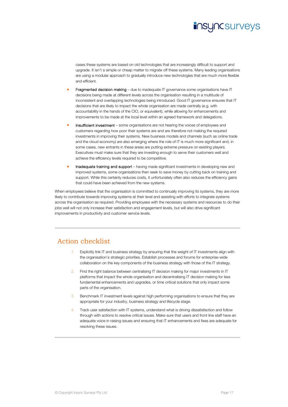

cases these systems are based on old technologies that are increasingly difficult to support and upgrade. It isn't a simple or cheap matter to migrate off these systems. Many leading organisations are using a modular approach to gradually introduce new technologies that are much more flexible and efficient.

- Fragmented decision making due to inadequate IT governance some organisations have IT decisions being made at different levels across the organisation resulting in a multitude of inconsistent and overlapping technologies being introduced. Good IT governance ensures that IT decisions that are likely to impact the whole organisation are made centrally (e.g. with accountability in the hands of the CIO, or equivalent), while allowing for enhancements and improvements to be made at the local level within an agreed framework and delegations.
- Insufficient investment some organisations are not hearing the voices of employees and customers regarding how poor their systems are and are therefore not making the required investments in improving their systems. New business models and channels (such as online trade and the cloud economy) are also emerging where the role of IT is much more significant and, in some cases, new entrants in these areas are putting extreme pressure on existing players. Executives must make sure that they are investing enough to serve their customers well and achieve the efficiency levels required to be competitive.
- **Inadequate training and support** having made significant investments in developing new and improved systems, some organisations then seek to save money by cutting back on training and support. While this certainly reduces costs, it unfortunately often also reduces the efficiency gains that could have been achieved from the new systems.

When employees believe that the organisation is committed to continually improving its systems, they are more likely to contribute towards improving systems at their level and assisting with efforts to integrate systems across the organisation as required. Providing employees with the necessary systems and resources to do their jobs well will not only increase their satisfaction and engagement levels, but will also drive significant improvements in productivity and customer service levels.

- Explicitly link IT and business strategy by ensuring that the weight of IT investments align with the organisation's strategic priorities. Establish processes and forums for enterprise-wide collaboration on the key components of the business strategy with those of the IT strategy.
- 2. Find the right balance between centralising IT decision making for major investments in IT platforms that impact the whole organisation and decentralising IT decision making for less fundamental enhancements and upgrades, or time critical solutions that only impact some parts of the organisation.
- Benchmark IT investment levels against high performing organisations to ensure that they are appropriate for your industry, business strategy and lifecycle stage.
- 4. Track user satisfaction with IT systems, understand what is driving dissatisfaction and follow through with actions to resolve critical issues. Make sure that users and front line staff have an adequate voice in raising issues and ensuring that IT enhancements and fixes are adequate for resolving these issues.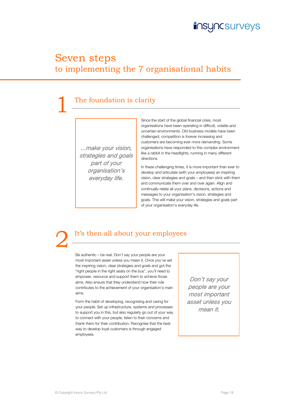

### Seven steps to implementing the 7 organisational habits

### The foundation is clarity

...make your vision, strategies and goals part of your organisation's everyday life.

Since the start of the global financial crisis, most organisations have been operating in difficult, volatile and uncertain environments. Old business models have been challenged, competition is forever increasing and customers are becoming ever more demanding. Some organisations have responded to this complex environment like a rabbit in the headlights, running in many different directions.

In these challenging times, it is more important than ever to develop and articulate (with your employees) an inspiring vision, clear strategies and goals – and then stick with them and communicate them over and over again. Align and continually relate all your plans, decisions, actions and messages to your organisation's vision, strategies and goals. This will make your vision, strategies and goals part of your organisation's everyday life.

### It's then all about your employees

Be authentic – be real. Don't say your people are your most important asset unless you mean it. Once you've set the inspiring vision, clear strategies and goals and got the "right people in the right seats on the bus", you'll need to empower, resource and support them to achieve those aims. Also ensure that they understand how their role contributes to the achievement of your organisation's main aims.

Form the habit of developing, recognising and caring for your people. Set up infrastructure, systems and processes to support you in this, but also regularly go out of your way to connect with your people, listen to their concerns and thank them for their contribution. Recognise that the best way to develop loyal customers is through engaged employees.

Don't say your people are your most important asset unless you mean it.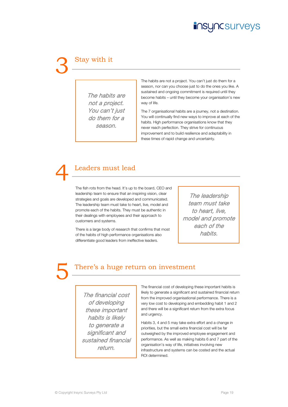### **Incsurveys**

# Stay with it

The habits are not a project. You can't just do them for a season.

The habits are not a project. You can't just do them for a season, nor can you choose just to do the ones you like. A sustained and ongoing commitment is required until they become habits – until they become your organisation's new way of life.

The 7 organisational habits are a journey, not a destination. You will continually find new ways to improve at each of the habits. High performance organisations know that they never reach perfection. They strive for continuous improvement and to build resilience and adaptability in these times of rapid change and uncertainty.

### Leaders must lead

The fish rots from the head. It's up to the board, CEO and leadership team to ensure that an inspiring vision, clear strategies and goals are developed and communicated. The leadership team must take to heart, live, model and promote each of the habits. They must be authentic in their dealings with employees and their approach to customers and systems.

There is a large body of research that confirms that most of the habits of high performance organisations also differentiate good leaders from ineffective leaders.

The leadership team must take to heart, live, model and promote each of the habits.

### There's a huge return on investment

The financial cost of developing these important habits is likely to generate a significant and sustained financial return.

The financial cost of developing these important habits is likely to generate a significant and sustained financial return from the improved organisational performance. There is a very low cost to developing and embedding habit 1 and 2 and there will be a significant return from the extra focus and urgency.

Habits 3, 4 and 5 may take extra effort and a change in priorities, but the small extra financial cost will be far outweighed by the improved employee engagement and performance. As well as making habits 6 and 7 part of the organisation's way of life, initiatives involving new infrastructure and systems can be costed and the actual ROI determined.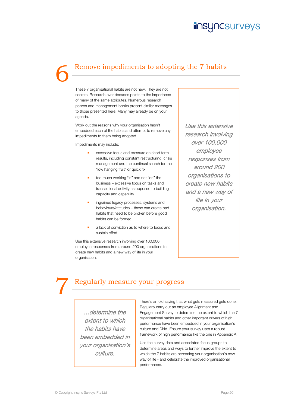### **JNCSUrveyS**

### Remove impediments to adopting the 7 habits

These 7 organisational habits are not new. They are not secrets. Research over decades points to the importance of many of the same attributes. Numerous research papers and management books present similar messages to those presented here. Many may already be on your agenda.

Work out the reasons why your organisation hasn't embedded each of the habits and attempt to remove any impediments to them being adopted.

Impediments may include:

- excessive focus and pressure on short term results, including constant restructuring, crisis management and the continual search for the "low hanging fruit" or quick fix
- too much working "in" and not "on" the business – excessive focus on tasks and transactional activity as opposed to building capacity and capability
- ingrained legacy processes, systems and behaviours/attitudes – these can create bad habits that need to be broken before good habits can be formed
- a lack of conviction as to where to focus and sustain effort.

Use this extensive research involving over 100,000 employee responses from around 200 organisations to create new habits and a new way of life in your organisation.

Use this extensive research involving over 100,000 employee responses from around 200 organisations to create new habits and a new way of life in your organisation.

### Regularly measure your progress

...determine the extent to which the habits have been embedded in your organisation's culture.

There's an old saying that what gets measured gets done. Regularly carry out an employee Alignment and Engagement Survey to determine the extent to which the 7 organisational habits and other important drivers of high performance have been embedded in your organisation's culture and DNA. Ensure your survey uses a robust framework of high performance like the one in Appendix A.

Use the survey data and associated focus groups to determine areas and ways to further improve the extent to which the 7 habits are becoming your organisation's new way of life - and celebrate the improved organisational performance.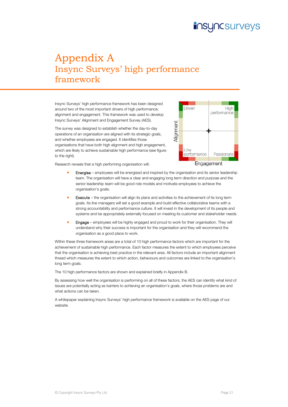# **Incsurveys**

### Appendix A Insync Surveys' high performance framework

Insync Surveys' high performance framework has been designed around two of the most important drivers of high performance; alignment and engagement. This framework was used to develop Insync Surveys' Alignment and Engagement Survey (AES).

The survey was designed to establish whether the day-to-day operations of an organisation are aligned with its strategic goals, and whether employees are engaged. It identifies those organisations that have both high alignment and high engagement, which are likely to achieve sustainable high performance (see figure to the right).



Research reveals that a high performing organisation will:

- Energise employees will be energised and inspired by the organisation and its senior leadership team. The organisation will have a clear and engaging long term direction and purpose and the senior leadership team will be good role models and motivate employees to achieve the organisation's goals.
- **Execute** the organisation will align its plans and activities to the achievement of its long term goals. Its line managers will set a good example and build effective collaborative teams with a strong accountability and performance culture. It will invest in the development of its people and systems and be appropriately externally focused on meeting its customer and stakeholder needs.
- Engage employees will be highly engaged and proud to work for their organisation. They will understand why their success is important for the organisation and they will recommend the organisation as a good place to work.

Within these three framework areas are a total of 10 high performance factors which are important for the achievement of sustainable high performance. Each factor measures the extent to which employees perceive that the organisation is achieving best practice in the relevant area. All factors include an important alignment thread which measures the extent to which action, behaviours and outcomes are linked to the organisation's long term goals.

The 10 high performance factors are shown and explained briefly in Appendix B.

By assessing how well the organisation is performing on all of these factors, the AES can identify what kind of issues are potentially acting as barriers to achieving an organisation's goals, where those problems are and what actions can be taken.

A whitepaper explaining Insync Surveys' high performance framework is available on the AES page of our website.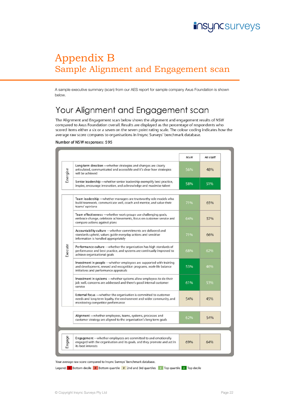

# Appendix B Sample Alignment and Engagement scan

A sample executive summary (scan) from our AES report for sample company Axus Foundation is shown below.

### Your Alignment and Engagement scan

The Alignment and Engagement scan below shows the alignment and engagement results of NSW compared to Axus Foundation overall. Results are displayed as the percentage of respondents who scored items either a six or a seven on the seven point rating scale. The colour coding indicates how the average raw score compares to organisations in Insync Surveys' benchmark database.

#### Number of NSW responses: 595

|          |                                                                                                                                                                                       | <b>NSW</b> | All staff |
|----------|---------------------------------------------------------------------------------------------------------------------------------------------------------------------------------------|------------|-----------|
| Energise | Long term direction - whether strategies and changes are clearly<br>articulated, communicated and accessible and it's clear how strategies<br>will be achieved                        | 56%        | 48%       |
|          | Senior leadership —whether senior leadership exemplify best practice,<br>inspire, encourage innovation, and acknowledge and maximise talent                                           | 58%        | 51%       |
|          | Team leadership - whether managers are trustworthy role models who<br>build teamwork, communicate well, coach and mentor, and value their<br>teams' opinions                          | 71%        | 65%       |
|          | Team effectiveness - whether work groups use challenging goals,<br>embrace change, celebrate achievements, focus on customer service and<br>compare actions against plans             | 64%        | 57%       |
|          | Accountability culture - whether commitments are delivered and<br>standards upheld, values quide everyday actions and sensitive<br>information is handled appropriately               | 71%        | 66%       |
| Execute  | Performance culture - whether the organisation has high standards of<br>performance and best practice, and systems are continually improved to<br>achieve organisational goals        | 68%        | 62%       |
|          | Investment in people - whether employees are supported with training<br>and development, reward and recognition programs, work-life balance<br>initiatives and performance appraisals | 53%        | 46%       |
|          | Investment in systems - whether systems allow employees to do their<br>job well, concerns are addressed and there's good internal customer<br>service                                 | 61%        | 53%       |
|          | External focus - whether the organisation is committed to customer<br>needs and long term loyalty, the environment and wider community, and<br>monitoring competitor performance      | 54%        | 45%       |
|          | Alignment - whether employees, teams, systems, processes and<br>customer strategy are aligned to the organisation's long term goals                                                   | 62%        | 54%       |
|          |                                                                                                                                                                                       |            |           |
| Engage   | Engagement - whether employees are committed to and emotionally<br>engaged with the organisation and its goals, and they promote and act in<br>its best interests                     | 69%        | 64%       |

Your average raw score compared to Insync Surveys' benchmark database.

Legend:  $\frac{1}{2}$  Bottom decile  $\frac{1}{2}$  Bottom quartile  $\frac{1}{2}$  2nd and 3rd quartiles  $\frac{1}{2}$  Top quartile  $\frac{1}{2}$  Top decile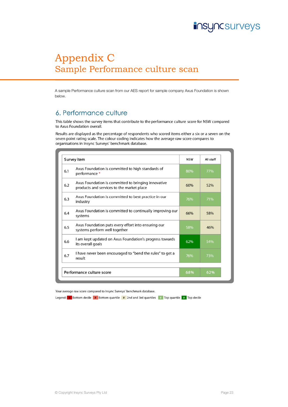# Appendix C Sample Performance culture scan

A sample Performance culture scan from our AES report for sample company Axus Foundation is shown below.

### 6. Performance culture

This table shows the survey items that contribute to the performance culture score for NSW compared to Axus Foundation overall.

Results are displayed as the percentage of respondents who scored items either a six or a seven on the seven point rating scale. The colour coding indicates how the average raw score compares to organisations in Insync Surveys' benchmark database.

| Survey item               |                                                                                                  | <b>NSW</b> | All staff |
|---------------------------|--------------------------------------------------------------------------------------------------|------------|-----------|
| 6.1                       | Axus Foundation is committed to high standards of<br>performance *                               | 80%        | 77%       |
| 6.2                       | Axus Foundation is committed to bringing innovative<br>products and services to the market place | 60%        | 52%       |
| 6.3                       | Axus Foundation is committed to best practice in our<br>industry                                 | 76%        | 71%       |
| 6.4                       | Axus Foundation is committed to continually improving our<br>systems                             | 66%        | 58%       |
| 6.5                       | Axus Foundation puts every effort into ensuring our<br>systems perform well together             | 58%        | 46%       |
| 6.6                       | I am kept updated on Axus Foundation's progress towards<br>its overall goals                     | 62%        | 54%       |
| 6.7                       | I have never been encouraged to "bend the rules" to get a<br>result                              | 76%        | 73%       |
| Performance culture score |                                                                                                  | 68%        | 62%       |

Your average raw score compared to Insync Surveys' benchmark database.

Legend:  $\frac{1}{2}$  Bottom decile  $\frac{1}{2}$  Bottom quartile  $\frac{1}{2}$  2nd and 3rd quartiles  $\frac{1}{2}$  Top quartile  $\frac{1}{2}$  Top decile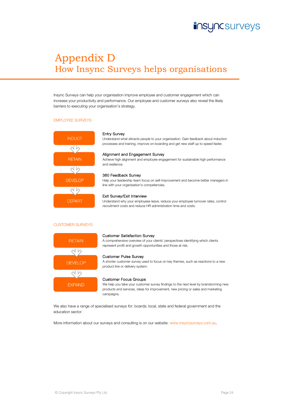

# Appendix D How Insync Surveys helps organisations

Insync Surveys can help your organisation improve employee and customer engagement which can increase your productivity and performance. Our employee and customer surveys also reveal the likely barriers to executing your organisation's strategy.

#### EMPLOYEE SURVEYS



#### Entry Survey

Understand what attracts people to your organisation. Gain feedback about induction processes and training, improve on-boarding and get new staff up to speed faster.

#### Alignment and Engagement Survey

Achieve high alignment and employee engagement for sustainable high performance and resilience.

#### 360 Feedback Survey

Help your leadership team focus on self-improvement and become better managers in line with your organisation's competencies.

#### Exit Survey/Exit Interview

Understand why your employees leave, reduce your employee turnover rates, control recruitment costs and reduce HR administration time and costs.

#### CUSTOMER SURVEYS



#### Customer Satisfaction Survey

A comprehensive overview of your clients' perspectives identifying which clients represent profit and growth opportunities and those at risk.

#### Customer Pulse Survey

A shorter customer survey used to focus on key themes, such as reactions to a new product line or delivery system.



We help you take your customer survey findings to the next level by brainstorming new products and services, ideas for improvement, new pricing or sales and marketing campaigns.

We also have a range of specialised surveys for: boards; local, state and federal government and the education sector.

More information about our surveys and consulting is on our website: www.insyncsurveys.com.au.